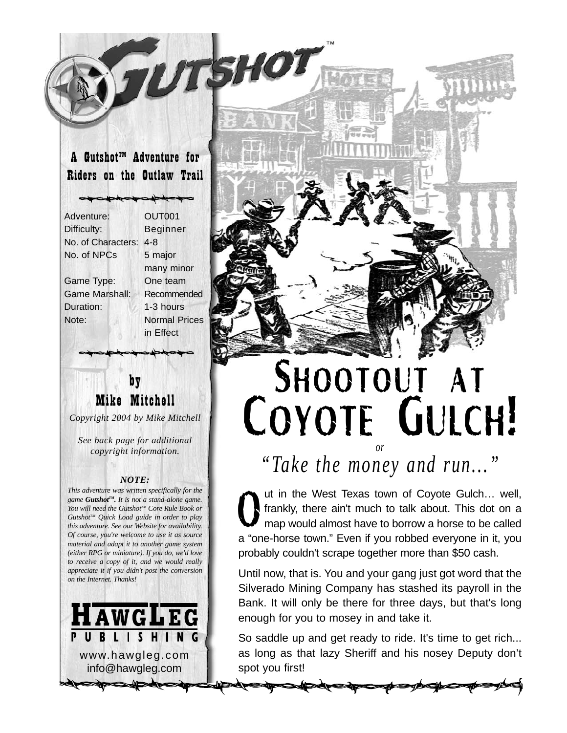### A Gutshot<sup>™</sup> Adventure for Riders on the Outlaw Trail

Adventure: OUT001 Difficulty: Beginner No. of Characters: 4-8 No. of NPCs 5 major Game Type: One team Game Marshall: Recommended Duration: 1-3 hours Note: Normal Prices

many minor in Effect

UTSHO

### by Mike Mitchell

*Copyright 2004 by Mike Mitchell*

*See back page for additional copyright information.*

#### *NOTE:*

*This adventure was written specifically for the game GutshotTM. It is not a stand-alone game. You will need the Gutshot™ Core Rule Book or GutshotTM Quick Load guide in order to play this adventure. See our Website for availability. Of course, you're welcome to use it as source material and adapt it to another game system (either RPG or miniature). If you do, we'd love to receive a copy of it, and we would really appreciate it if you didn't post the conversion on the Internet. Thanks!*





# SHOOTOUT AT COYOTE GULCH! *or*

*"Take the money and run..."*

ut in the West Texas town of Coyote Gulch… well, frankly, there ain't much to talk about. This dot on a map would almost have to borrow a horse to be called a "one-horse town." Even if you robbed everyone in it, you probably couldn't scrape together more than \$50 cash.  $\boldsymbol{U}$ 

Until now, that is. You and your gang just got word that the Silverado Mining Company has stashed its payroll in the Bank. It will only be there for three days, but that's long enough for you to mosey in and take it.

So saddle up and get ready to ride. It's time to get rich... as long as that lazy Sheriff and his nosey Deputy don't spot you first!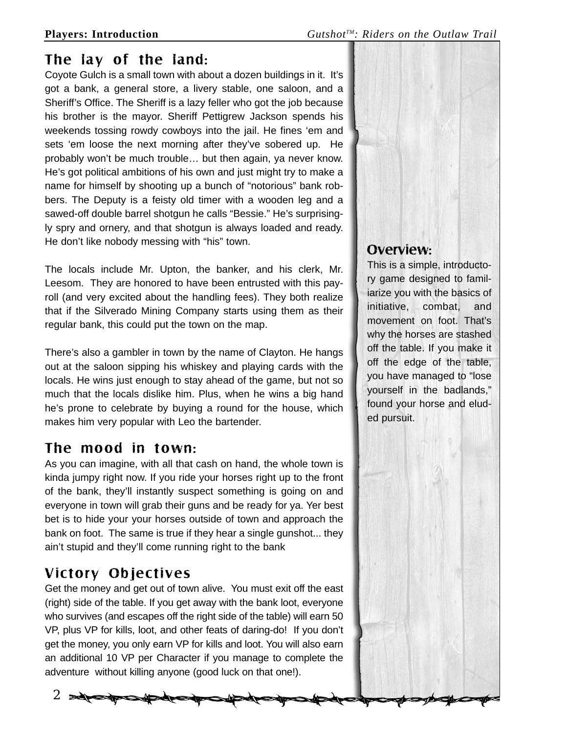### The lay of the land:

Coyote Gulch is a small town with about a dozen buildings in it. It's got a bank, a general store, a livery stable, one saloon, and a Sheriff's Office. The Sheriff is a lazy feller who got the job because his brother is the mayor. Sheriff Pettigrew Jackson spends his weekends tossing rowdy cowboys into the jail. He fines 'em and sets 'em loose the next morning after they've sobered up. He probably won't be much trouble… but then again, ya never know. He's got political ambitions of his own and just might try to make a name for himself by shooting up a bunch of "notorious" bank robbers. The Deputy is a feisty old timer with a wooden leg and a sawed-off double barrel shotgun he calls "Bessie." He's surprisingly spry and ornery, and that shotgun is always loaded and ready. He don't like nobody messing with "his" town.

The locals include Mr. Upton, the banker, and his clerk, Mr. Leesom. They are honored to have been entrusted with this payroll (and very excited about the handling fees). They both realize that if the Silverado Mining Company starts using them as their regular bank, this could put the town on the map.

There's also a gambler in town by the name of Clayton. He hangs out at the saloon sipping his whiskey and playing cards with the locals. He wins just enough to stay ahead of the game, but not so much that the locals dislike him. Plus, when he wins a big hand he's prone to celebrate by buying a round for the house, which makes him very popular with Leo the bartender.

## The mood in town:

As you can imagine, with all that cash on hand, the whole town is kinda jumpy right now. If you ride your horses right up to the front of the bank, they'll instantly suspect something is going on and everyone in town will grab their guns and be ready for ya. Yer best bet is to hide your your horses outside of town and approach the bank on foot. The same is true if they hear a single gunshot... they ain't stupid and they'll come running right to the bank

## Victory Objectives

Get the money and get out of town alive. You must exit off the east (right) side of the table. If you get away with the bank loot, everyone who survives (and escapes off the right side of the table) will earn 50 VP, plus VP for kills, loot, and other feats of daring-do! If you don't get the money, you only earn VP for kills and loot. You will also earn an additional 10 VP per Character if you manage to complete the adventure without killing anyone (good luck on that one!).

2



## Overview:

This is a simple, introductory game designed to familiarize you with the basics of initiative, combat, and movement on foot. That's why the horses are stashed off the table. If you make it off the edge of the table, you have managed to "lose yourself in the badlands," found your horse and eluded pursuit.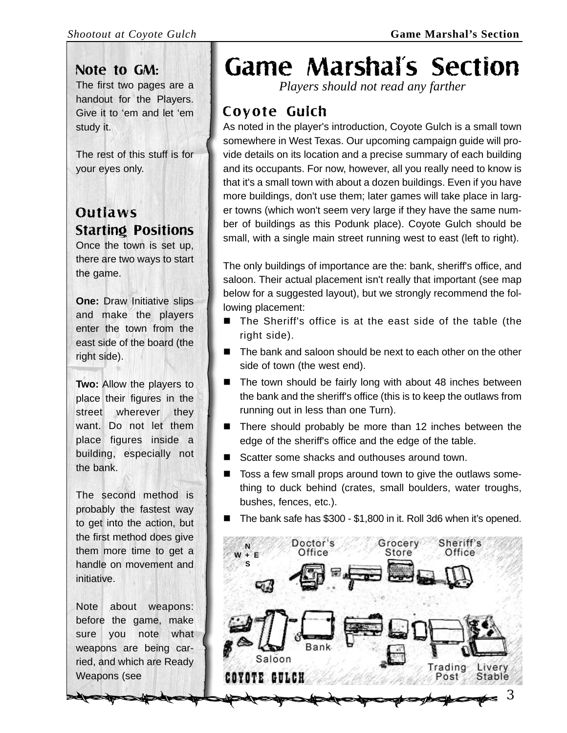### Note to GM:

The first two pages are a handout for the Players. Give it to 'em and let 'em study it.

The rest of this stuff is for your eyes only.

## **Outlaws** Starting Positions

Once the town is set up, there are two ways to start the game.

**One:** Draw Initiative slips and make the players enter the town from the east side of the board (the right side).

**Two:** Allow the players to place their figures in the street wherever they want. Do not let them place figures inside a building, especially not the bank.

The second method is probably the fastest way to get into the action, but the first method does give them more time to get a handle on movement and initiative.

Note about weapons: before the game, make sure you note what weapons are being carried, and which are Ready Weapons (see

# Game Marshal's Section

*Players should not read any farther*

## Coyote Gulch

As noted in the player's introduction, Coyote Gulch is a small town somewhere in West Texas. Our upcoming campaign guide will provide details on its location and a precise summary of each building and its occupants. For now, however, all you really need to know is that it's a small town with about a dozen buildings. Even if you have more buildings, don't use them; later games will take place in larger towns (which won't seem very large if they have the same number of buildings as this Podunk place). Coyote Gulch should be small, with a single main street running west to east (left to right).

The only buildings of importance are the: bank, sheriff's office, and saloon. Their actual placement isn't really that important (see map below for a suggested layout), but we strongly recommend the following placement:

- The Sheriff's office is at the east side of the table (the right side).
- The bank and saloon should be next to each other on the other side of town (the west end).
- $\blacksquare$  The town should be fairly long with about 48 inches between the bank and the sheriff's office (this is to keep the outlaws from running out in less than one Turn).
- There should probably be more than 12 inches between the edge of the sheriff's office and the edge of the table.
- Scatter some shacks and outhouses around town.
- Toss a few small props around town to give the outlaws something to duck behind (crates, small boulders, water troughs, bushes, fences, etc.).
- The bank safe has \$300 \$1,800 in it. Roll 3d6 when it's opened.

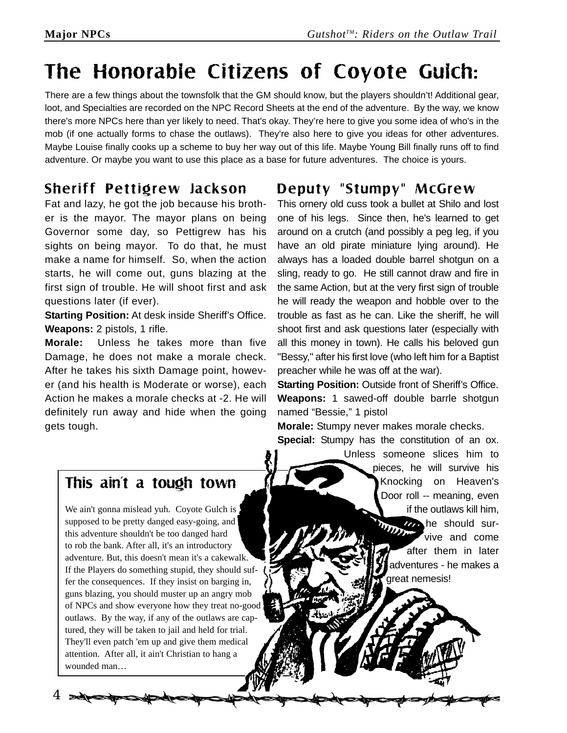## The Honorable Citizens of Coyote Gulch:

There are a few things about the townsfolk that the GM should know, but the players shouldn't! Additional gear, loot, and Specialties are recorded on the NPC Record Sheets at the end of the adventure. By the way, we know there's more NPCs here than yer likely to need. That's okay. They're here to give you some idea of who's in the mob (if one actually forms to chase the outlaws). They're also here to give you ideas for other adventures. Maybe Louise finally cooks up a scheme to buy her way out of this life. Maybe Young Bill finally runs off to find adventure. Or maybe you want to use this place as a base for future adventures. The choice is yours.

## Sheriff Pettigrew Jackson

Fat and lazy, he got the job because his brother is the mayor. The mayor plans on being Governor some day, so Pettigrew has his sights on being mayor. To do that, he must make a name for himself. So, when the action starts, he will come out, guns blazing at the first sign of trouble. He will shoot first and ask questions later (if ever).

**Starting Position:** At desk inside Sheriff's Office. **Weapons:** 2 pistols, 1 rifle.

**Morale:** Unless he takes more than five Damage, he does not make a morale check. After he takes his sixth Damage point, however (and his health is Moderate or worse), each Action he makes a morale checks at -2. He will definitely run away and hide when the going gets tough.

### Deputy "Stumpy" McGrew

This ornery old cuss took a bullet at Shilo and lost one of his legs. Since then, he's learned to get around on a crutch (and possibly a peg leg, if you have an old pirate miniature lying around). He always has a loaded double barrel shotgun on a sling, ready to go. He still cannot draw and fire in the same Action, but at the very first sign of trouble he will ready the weapon and hobble over to the trouble as fast as he can. Like the sheriff, he will shoot first and ask questions later (especially with all this money in town). He calls his beloved gun "Bessy," after his first love (who left him for a Baptist preacher while he was off at the war).

**Starting Position:** Outside front of Sheriff's Office. **Weapons:** 1 sawed-off double barrle shotgun named "Bessie," 1 pistol

**Morale:** Stumpy never makes morale checks. **Special:** Stumpy has the constitution of an ox.

> Unless someone slices him to pieces, he will survive his Knocking on Heaven's Door roll -- meaning, even if the outlaws kill him, *H* he should survive and come after them in later adventures - he makes a great nemesis!

### This ain't a tough town

We ain't gonna mislead yuh. Coyote Gulch is supposed to be pretty danged easy-going, and this adventure shouldn't be too danged hard to rob the bank. After all, it's an introductory adventure. But, this doesn't mean it's a cakewalk. If the Players do something stupid, they should suffer the consequences. If they insist on barging in, guns blazing, you should muster up an angry mob of NPCs and show everyone how they treat no-good outlaws. By the way, if any of the outlaws are captured, they will be taken to jail and held for trial. They'll even patch 'em up and give them medical attention. After all, it ain't Christian to hang a wounded man…

4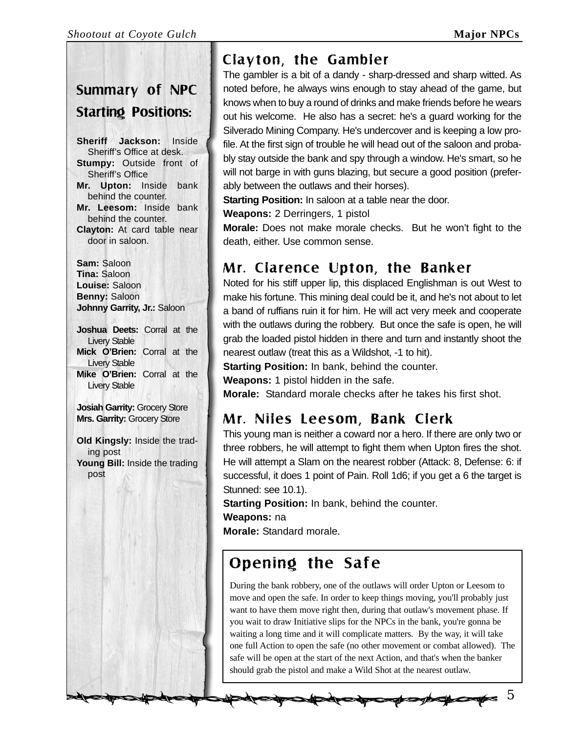## Summary of NPC Starting Positions:

**Sheriff Jackson:** Inside Sheriff's Office at desk. **Stumpy:** Outside front of Sheriff's Office **Mr. Upton:** Inside bank behind the counter. **Mr. Leesom:** Inside bank behind the counter. **Clayton:** At card table near door in saloon.

**Sam:** Saloon **Tina:** Saloon **Louise:** Saloon **Benny:** Saloon **Johnny Garrity, Jr.:** Saloon

**Joshua Deets:** Corral at the Livery Stable **Mick O'Brien:** Corral at the Livery Stable **Mike O'Brien:** Corral at the Livery Stable

**Josiah Garrity:** Grocery Store **Mrs. Garrity:** Grocery Store

**Old Kingsly:** Inside the trading post **Young Bill:** Inside the trading post

## Clayton, the Gambler

The gambler is a bit of a dandy - sharp-dressed and sharp witted. As noted before, he always wins enough to stay ahead of the game, but knows when to buy a round of drinks and make friends before he wears out his welcome. He also has a secret: he's a guard working for the Silverado Mining Company. He's undercover and is keeping a low profile. At the first sign of trouble he will head out of the saloon and probably stay outside the bank and spy through a window. He's smart, so he will not barge in with guns blazing, but secure a good position (preferably between the outlaws and their horses).

**Starting Position:** In saloon at a table near the door.

**Weapons:** 2 Derringers, 1 pistol

**Morale:** Does not make morale checks. But he won't fight to the death, either. Use common sense.

## Mr. Clarence Upton, the Banker

Noted for his stiff upper lip, this displaced Englishman is out West to make his fortune. This mining deal could be it, and he's not about to let a band of ruffians ruin it for him. He will act very meek and cooperate with the outlaws during the robbery. But once the safe is open, he will grab the loaded pistol hidden in there and turn and instantly shoot the nearest outlaw (treat this as a Wildshot, -1 to hit).

**Starting Position:** In bank, behind the counter.

**Weapons:** 1 pistol hidden in the safe.

**Morale:** Standard morale checks after he takes his first shot.

## Mr. Niles Leesom, Bank Clerk

This young man is neither a coward nor a hero. If there are only two or three robbers, he will attempt to fight them when Upton fires the shot. He will attempt a Slam on the nearest robber (Attack: 8, Defense: 6: if successful, it does 1 point of Pain. Roll 1d6; if you get a 6 the target is Stunned: see 10.1).

**Starting Position:** In bank, behind the counter.

**Weapons:** na

**Morale:** Standard morale.

## Opening the Safe

During the bank robbery, one of the outlaws will order Upton or Leesom to move and open the safe. In order to keep things moving, you'll probably just want to have them move right then, during that outlaw's movement phase. If you wait to draw Initiative slips for the NPCs in the bank, you're gonna be waiting a long time and it will complicate matters. By the way, it will take one full Action to open the safe (no other movement or combat allowed). The safe will be open at the start of the next Action, and that's when the banker should grab the pistol and make a Wild Shot at the nearest outlaw.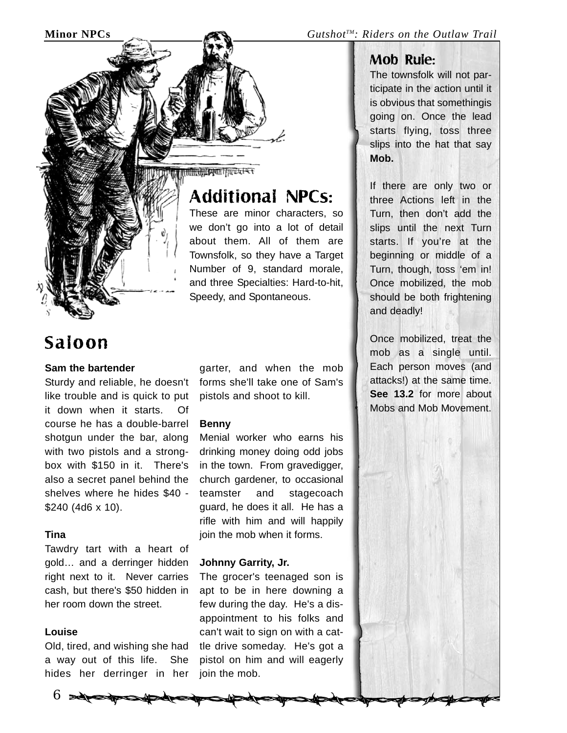

## Saloon

#### **Sam the bartender**

Sturdy and reliable, he doesn't like trouble and is quick to put it down when it starts. Of course he has a double-barrel shotgun under the bar, along with two pistols and a strongbox with \$150 in it. There's also a secret panel behind the shelves where he hides \$40 - \$240 (4d6 x 10).

### **Tina**

Tawdry tart with a heart of gold… and a derringer hidden right next to it. Never carries cash, but there's \$50 hidden in her room down the street.

#### **Louise**

Old, tired, and wishing she had a way out of this life. She hides her derringer in her

 $6 \rightarrow$ 

Mullingham Francis

## Additional NPCs:

These are minor characters, so we don't go into a lot of detail about them. All of them are Townsfolk, so they have a Target Number of 9, standard morale, and three Specialties: Hard-to-hit, Speedy, and Spontaneous.

garter, and when the mob forms she'll take one of Sam's pistols and shoot to kill.

#### **Benny**

Menial worker who earns his drinking money doing odd jobs in the town. From gravedigger, church gardener, to occasional teamster and stagecoach guard, he does it all. He has a rifle with him and will happily join the mob when it forms.

### **Johnny Garrity, Jr.**

The grocer's teenaged son is apt to be in here downing a few during the day. He's a disappointment to his folks and can't wait to sign on with a cattle drive someday. He's got a pistol on him and will eagerly join the mob.

### Mob Rule:

The townsfolk will not participate in the action until it is obvious that somethingis going on. Once the lead starts flying, toss three slips into the hat that say **Mob.**

If there are only two or three Actions left in the Turn, then don't add the slips until the next Turn starts. If you're at the beginning or middle of a Turn, though, toss 'em in! Once mobilized, the mob should be both frightening and deadly!

Once mobilized, treat the mob as a single until. Each person moves (and attacks!) at the same time. **See 13.2** for more about Mobs and Mob Movement.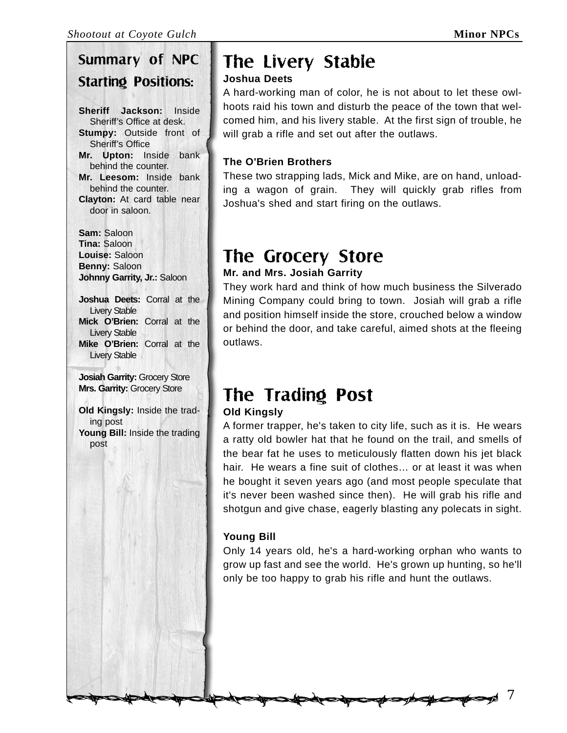## Summary of NPC Starting Positions:

**Sheriff Jackson:** Inside Sheriff's Office at desk. **Stumpy:** Outside front of Sheriff's Office **Mr. Upton:** Inside bank behind the counter. **Mr. Leesom:** Inside bank behind the counter. **Clayton:** At card table near door in saloon.

**Sam:** Saloon **Tina:** Saloon **Louise:** Saloon **Benny:** Saloon **Johnny Garrity, Jr.:** Saloon

**Joshua Deets:** Corral at the Livery Stable **Mick O'Brien:** Corral at the Livery Stable **Mike O'Brien:** Corral at the Livery Stable

**Josiah Garrity:** Grocery Store **Mrs. Garrity:** Grocery Store

**Old Kingsly:** Inside the trading post **Young Bill:** Inside the trading post

## The Livery Stable

### **Joshua Deets**

A hard-working man of color, he is not about to let these owlhoots raid his town and disturb the peace of the town that welcomed him, and his livery stable. At the first sign of trouble, he will grab a rifle and set out after the outlaws.

### **The O'Brien Brothers**

These two strapping lads, Mick and Mike, are on hand, unloading a wagon of grain. They will quickly grab rifles from Joshua's shed and start firing on the outlaws.

## The Grocery Store

### **Mr. and Mrs. Josiah Garrity**

They work hard and think of how much business the Silverado Mining Company could bring to town. Josiah will grab a rifle and position himself inside the store, crouched below a window or behind the door, and take careful, aimed shots at the fleeing outlaws.

## The Trading Post

### **Old Kingsly**

A former trapper, he's taken to city life, such as it is. He wears a ratty old bowler hat that he found on the trail, and smells of the bear fat he uses to meticulously flatten down his jet black hair. He wears a fine suit of clothes… or at least it was when he bought it seven years ago (and most people speculate that it's never been washed since then). He will grab his rifle and shotgun and give chase, eagerly blasting any polecats in sight.

### **Young Bill**

Only 14 years old, he's a hard-working orphan who wants to grow up fast and see the world. He's grown up hunting, so he'll only be too happy to grab his rifle and hunt the outlaws.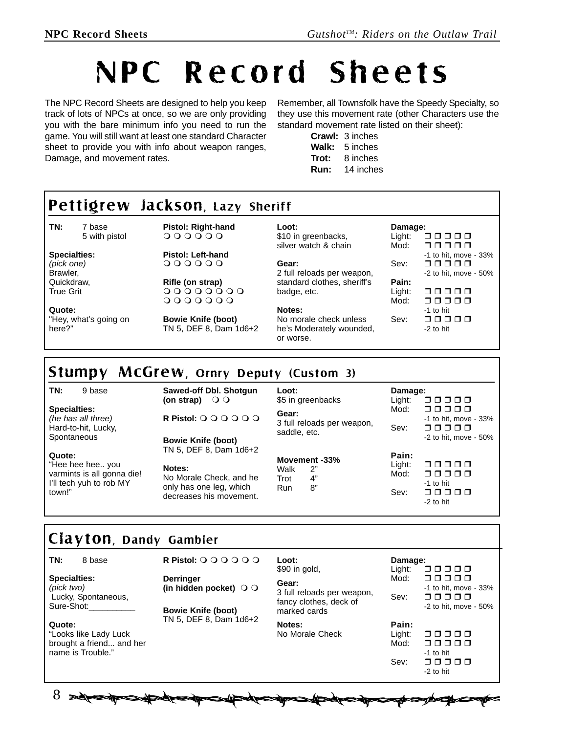# NPC Record Sheets

The NPC Record Sheets are designed to help you keep track of lots of NPCs at once, so we are only providing you with the bare minimum info you need to run the game. You will still want at least one standard Character sheet to provide you with info about weapon ranges, Damage, and movement rates.

Remember, all Townsfolk have the Speedy Specialty, so they use this movement rate (other Characters use the standard movement rate listed on their sheet):

> **Crawl:** 3 inches **Walk:** 5 inches **Trot:** 8 inches **Run:** 14 inches

#### **TN:** 7 base 5 with pistol **Specialties:** *(pick one)* Brawler, Quickdraw, True Grit **Quote:** "Hey, what's going on here?" **Pistol: Right-hand**  $000000$ **Pistol: Left-hand**  $000000$ **Rifle (on strap)**  $00000000$  $0000000$ **Bowie Knife (boot)** TN 5, DEF 8, Dam 1d6+2 **Loot:** \$10 in greenbacks, silver watch & chain **Gear:** 2 full reloads per weapon, standard clothes, sheriff's badge, etc. **Notes:** No morale check unless he's Moderately wounded, or worse. **Damage:** Light:  $\Box$  $\Box$  $\Box$  $\Box$ Mod: 00000 -1 to hit, move - 33% Sev: 00000 -2 to hit, move - 50% **Pain:** nnnn  $Mod: \square \square \square \square \square$ -1 to hit Sev: 00000 -2 to hit Pettigrew Jackson, Lazy Sheriff

### Stumpy McGrew, Ornry Deputy (Custom 3)

**TN:** 9 base

**Specialties:** *(he has all three)* Hard-to-hit, Lucky, **Spontaneous** 

**Quote:**

"Hee hee hee.. you varmints is all gonna die! I'll tech yuh to rob MY town!"

**Sawed-off Dbl. Shotgun (on strap)** 

**Bowie Knife (boot)** TN 5, DEF 8, Dam 1d6+2

**R Pistol:** 

**Notes:**

No Morale Check, and he only has one leg, which decreases his movement.

| Loot:<br>\$5 in greenbacks<br>Gear:<br>3 full reloads per weapon,<br>saddle, etc. |                                 | Damage:<br>Light:<br>88888      |                                                                      |
|-----------------------------------------------------------------------------------|---------------------------------|---------------------------------|----------------------------------------------------------------------|
|                                                                                   |                                 | Mod:<br>Sev:                    | ⊓⊓⊓⊓⊓<br>-1 to hit, move - 33%<br>88888<br>$-2$ to hit, move $-50\%$ |
| Walk<br>Trot<br>Run                                                               | Movement -33%<br>2"<br>4"<br>8" | Pain:<br>Light:<br>Mod:<br>Sev: | 88888<br>⊓⊓⊓⊓⊓<br>-1 to hit<br>88888<br>-2 to hit                    |

## Clayton, Dandy Gambler

#### **TN:** 8 base

Lucky, Spontaneous,

"Looks like Lady Luck brought a friend... and her

name is Trouble."

**Specialties:** *(pick two)*

Sure-Shot:

**Quote:**

**R Pistol:** 

**Derringer (in hidden pocket)** 

**Bowie Knife (boot)** TN 5, DEF 8, Dam 1d6+2

**SARS** 

| Loot:<br>\$90 in gold,<br>Gear:<br>3 full reloads per weapon,<br>fancy clothes, deck of<br>marked cards | Damage:<br>Light:<br>00000<br>Mod:<br>□□□□□<br>-1 to hit, move - 33%<br>Sev:<br>88888<br>$-2$ to hit, move $-50\%$ |  |
|---------------------------------------------------------------------------------------------------------|--------------------------------------------------------------------------------------------------------------------|--|
| Notes:<br>No Morale Check                                                                               | Pain:<br>Light:<br>88888<br>Mod:<br>⊓⊓⊓⊓<br>$\Box$<br>-1 to hit                                                    |  |

-2 to hit

8 separational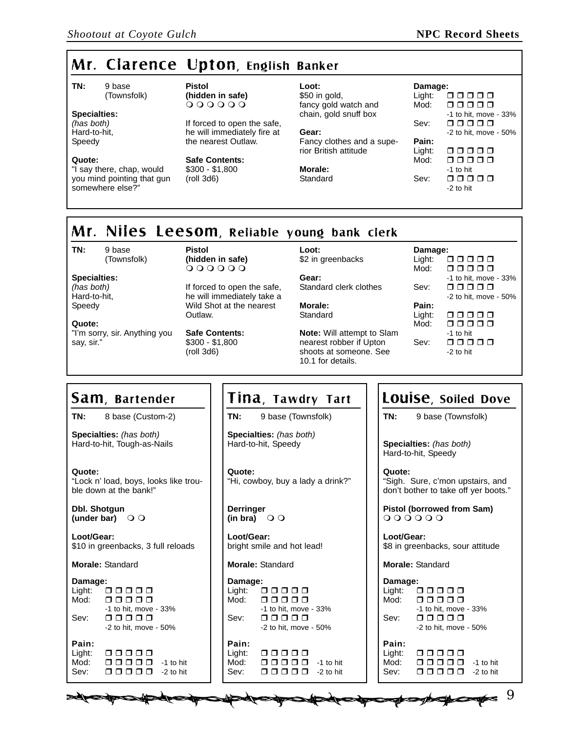## Mr. Clarence Upton, English Banker

**TN:** 9 base (Townsfolk)

#### **Specialties:**

*(has both)* Hard-to-hit, Speedy

#### **Quote:**

"I say there, chap, would you mind pointing that gun somewhere else?"

**Pistol (hidden in safe)**  $000000$ 

If forced to open the safe, he will immediately fire at the nearest Outlaw.

**Safe Contents:** \$300 - \$1,800 (roll 3d6)

\$50 in gold, fancy gold watch and chain, gold snuff box **Gear:** Fancy clothes and a superior British attitude **Morale:**

**Standard** 

**Loot:**

**Loot:**

**Damage:** Light:  $\Box$  $\Box$  $\Box$  $\Box$ Mod: 00000 -1 to hit, move - 33% Sev:  $\Box$  $\Box$  $\Box$  $\Box$  $\Box$ -2 to hit, move - 50% **Pain:** Light:  $\Box$  $\Box$  $\Box$  $\Box$  $Mod: \square \square \square \square \square$ -1 to hit Sev:  $\Box$  $\Box$  $\Box$  $\Box$  $\Box$ -2 to hit

## Mr. Niles Leesom, Reliable young bank clerk

**TN:** 9 base

(Townsfolk)

**Specialties:** *(has both)* Hard-to-hit, Speedy

**Quote:** "I'm sorry, sir. Anything you say, sir."

**Pistol (hidden in safe)**  $000000$ 

If forced to open the safe, he will immediately take a Wild Shot at the nearest Outlaw.

**Safe Contents:** \$300 - \$1,800 (roll 3d6)

\$2 in greenbacks

**Gear:** Standard clerk clothes

**Morale: Standard** 

**Note:** Will attempt to Slam nearest robber if Upton shoots at someone. See 10.1 for details.



## Sam, Bartender

**TN:** 8 base (Custom-2)

**Specialties:** *(has both)* Hard-to-hit, Tough-as-Nails

**Quote:** "Lock n' load, boys, looks like trouble down at the bank!"

**Dbl. Shotgun (under bar)** 

**Loot/Gear:** \$10 in greenbacks, 3 full reloads

**Morale:** Standard

#### **Damage:**

| Panago |                                                    |
|--------|----------------------------------------------------|
| 00000  |                                                    |
| 88888  |                                                    |
|        |                                                    |
| 88888  |                                                    |
|        |                                                    |
|        |                                                    |
| 00000  |                                                    |
| ooooo  | -1 to hit                                          |
| ⊓⊓⊓⊓⊓  | $-2$ to hit                                        |
|        | -1 to hit, move - 33%<br>$-2$ to hit, move $-50\%$ |

**Medical Production** 

### Tina, Tawdry Tart

**TN:** 9 base (Townsfolk)

**Specialties:** *(has both)* Hard-to-hit, Speedy

**Quote:** "Hi, cowboy, buy a lady a drink?"

**Derringer**  $(\mathsf{in} \ \mathsf{bra}) \ \odot \odot$ 

**Loot/Gear:** bright smile and hot lead!

**Morale:** Standard

**Damage:** Light: 00000<br>Mod: 00000 00000 -1 to hit, move - 33% Sev: 00000 -2 to hit, move - 50% **Pain:**

| Light: | 88888                                 |           |
|--------|---------------------------------------|-----------|
| Mod:   | 88888                                 | -1 to hit |
| Sev:   | $\Box$ $\Box$ $\Box$ $\Box$ -2 to hit |           |

## Louise, Soiled Dove

**TN:** 9 base (Townsfolk)

**Specialties:** *(has both)* Hard-to-hit, Speedy

**Quote:** "Sigh. Sure, c'mon upstairs, and don't bother to take off yer boots."

**Pistol (borrowed from Sam)**  $000000$ 

**Loot/Gear:** \$8 in greenbacks, sour attitude

**Morale:** Standard

**New Horospectrum** 

| Damage: |                       |
|---------|-----------------------|
| Light:  | 00000                 |
| Mod:    | ooooo                 |
|         | -1 to hit, move - 33% |
| Sev:    | ooooo                 |
|         | -2 to hit, move - 50% |
| Pain:   |                       |
| Light:  | 00000                 |
| Mod:    | 00000<br>-1 to hit    |
| Sev:    | ooooo<br>$-2$ to hit  |
|         |                       |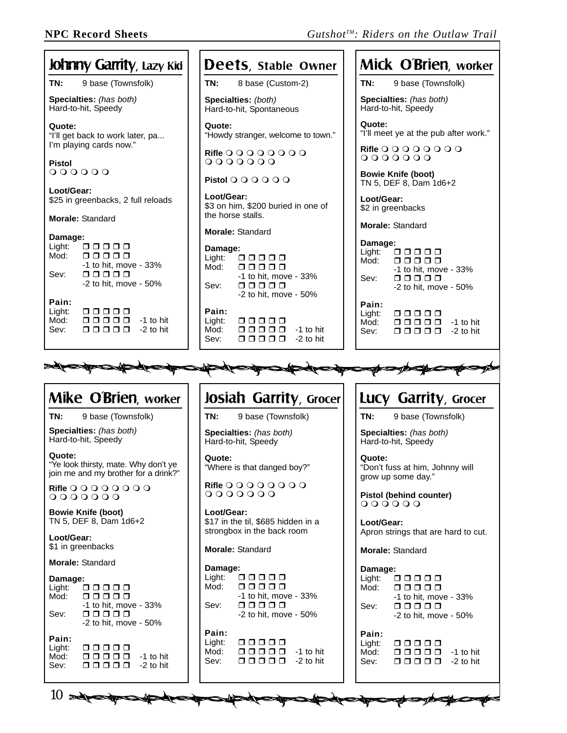aparte de de la producción

| <b>Johnny Garrity</b> , Lazy Kid                                                                                           | Deets, stable Owner                                                                                            | Mick O'Brien, worker                                                                                                                                                                                               |
|----------------------------------------------------------------------------------------------------------------------------|----------------------------------------------------------------------------------------------------------------|--------------------------------------------------------------------------------------------------------------------------------------------------------------------------------------------------------------------|
| TN:<br>9 base (Townsfolk)                                                                                                  | TN:<br>8 base (Custom-2)                                                                                       | TN:<br>9 base (Townsfolk)                                                                                                                                                                                          |
| Specialties: (has both)<br>Hard-to-hit, Speedy                                                                             | Specialties: (both)<br>Hard-to-hit, Spontaneous                                                                | Specialties: (has both)<br>Hard-to-hit, Speedy                                                                                                                                                                     |
| Quote:<br>"I'll get back to work later, pa<br>I'm playing cards now."                                                      | Quote:<br>"Howdy stranger, welcome to town."                                                                   | Quote:<br>"I'll meet ye at the pub after work."                                                                                                                                                                    |
| Pistol                                                                                                                     | Rifle $0000000$<br>$0000000$                                                                                   | <b>Rifle OOOOOOO</b><br>$0000000$                                                                                                                                                                                  |
| $000000$<br>Loot/Gear:                                                                                                     | Pistol O O O O O                                                                                               | <b>Bowie Knife (boot)</b><br>TN 5, DEF 8, Dam 1d6+2                                                                                                                                                                |
| \$25 in greenbacks, 2 full reloads                                                                                         | Loot/Gear:<br>\$3 on him, \$200 buried in one of<br>the horse stalls.                                          | Loot/Gear:<br>\$2 in greenbacks                                                                                                                                                                                    |
| <b>Morale: Standard</b>                                                                                                    | <b>Morale: Standard</b>                                                                                        | <b>Morale: Standard</b>                                                                                                                                                                                            |
| Damage:<br>Light:<br>00000<br>Mod:<br>00000<br>$-1$ to hit, move $-33%$<br>88888<br>Sev:<br>-2 to hit, move - 50%<br>Pain: | Damage:<br>00000<br>Light:<br>Mod:<br>00000<br>-1 to hit, move - 33%<br>00000<br>Sev:<br>-2 to hit, move - 50% | Damage:<br>Light:<br>00000<br>Mod:<br>00000<br>-1 to hit. move - 33%<br>$\begin{array}{cccccccccccccc} \square & \square & \square & \square & \square & \square \end{array}$<br>Sev:<br>$-2$ to hit, move $-50\%$ |
| Light:<br>00000<br>Mod:<br>00000<br>-1 to hit<br>00000<br>Sev:<br>-2 to hit                                                | Pain:<br>Light:<br>00000<br>Mod:<br>00000<br>-1 to hit<br>00000<br>Sev:<br>$-2$ to hit                         | Pain:<br>Light:<br>00000<br>00000<br>Mod:<br>-1 to hit<br>00000<br>Sev:<br>$-2$ to hit                                                                                                                             |
|                                                                                                                            | $\blacktriangle$                                                                                               |                                                                                                                                                                                                                    |
|                                                                                                                            | <b>SUPSURGEOUS</b>                                                                                             |                                                                                                                                                                                                                    |
| Mike O'Brien, worker                                                                                                       | Josiah Garrity, Grocer                                                                                         | Lucy Garrity, Grocer                                                                                                                                                                                               |
| TN:<br>9 base (Townsfolk)                                                                                                  | TN:<br>9 base (Townsfolk)                                                                                      | TN:<br>9 base (Townsfolk)                                                                                                                                                                                          |
| Specialties: (has both)<br>Hard-to-hit, Speedy                                                                             | Specialties: (has both)<br>Hard-to-hit, Speedy                                                                 | Specialties: (has both)<br>Hard-to-hit, Speedy                                                                                                                                                                     |
| Quote:<br>"Ye look thirsty, mate. Why don't ye<br>join me and my brother for a drink?"                                     | Quote:<br>"Where is that danged boy?"                                                                          | Quote:<br>"Don't fuss at him, Johnny will<br>grow up some day."                                                                                                                                                    |
| <b>Rifle OOOOOOO</b><br>0000000                                                                                            | <b>Rifle O O O O O O</b><br>$0000000$                                                                          | Pistol (behind counter)<br>$000000$                                                                                                                                                                                |
| <b>Bowie Knife (boot)</b><br>TN 5, DEF 8, Dam 1d6+2                                                                        | Loot/Gear:<br>\$17 in the til, \$685 hidden in a<br>strongbox in the back room                                 | Loot/Gear:                                                                                                                                                                                                         |
| Loot/Gear:<br>\$1 in greenbacks                                                                                            | Morale: Standard                                                                                               | Apron strings that are hard to cut.<br><b>Morale: Standard</b>                                                                                                                                                     |
| <b>Morale: Standard</b>                                                                                                    | Damage:                                                                                                        | Damage:                                                                                                                                                                                                            |
| Damage:<br>Light:<br>00000<br>Mod:<br>00000                                                                                | Light:<br>00000<br>Mod:<br>00000<br>-1 to hit, move - 33%                                                      | Light:<br>$\begin{array}{c} \square \; \square \; \square \; \square \; \square \end{array}$<br>00000<br>Mod:<br>-1 to hit, move - 33%                                                                             |
| -1 to hit, move - 33%<br>00000<br>Sev:                                                                                     | 00000<br>Sev:<br>-2 to hit, move - 50%                                                                         | 00000<br>Sev:<br>$-2$ to hit, move $-50\%$                                                                                                                                                                         |
| $-2$ to hit, move $-50\%$                                                                                                  | Pain:                                                                                                          | Pain:                                                                                                                                                                                                              |

**STARTER** 

10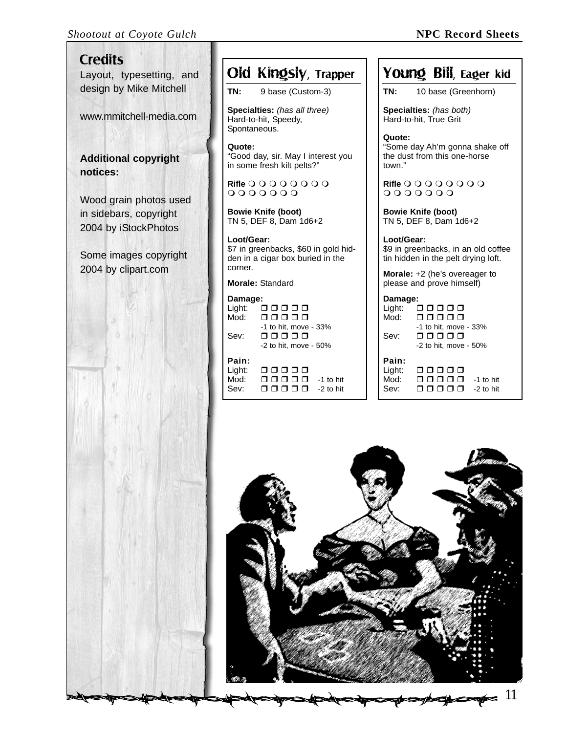#### *Shootout at Coyote Gulch* **NPC Record Sheets**

# **Credits**

Layout, typesetting, and design by Mike Mitchell

www.mmitchell-media.com

**Additional copyright notices:**

Wood grain photos used in sidebars, copyright 2004 by iStockPhotos

Some images copyright 2004 by clipart.com



## Old Kingsly, Trapper

**TN:** 9 base (Custom-3)

**Specialties:** *(has all three)* Hard-to-hit, Speedy, Spontaneous.

**Quote:** "Good day, sir. May I interest you in some fresh kilt pelts?"

**Rifle**   $O O O O O O O$ 

**Bowie Knife (boot)** TN 5, DEF 8, Dam 1d6+2

**Loot/Gear:** \$7 in greenbacks, \$60 in gold hidden in a cigar box buried in the corner.

**Morale:** Standard

| Damage:        |                           |
|----------------|---------------------------|
| Light:         | 00000                     |
| Mod:           | ooooo                     |
|                | -1 to hit, move - 33%     |
| Sev:           | ooooo                     |
|                | $-2$ to hit. move $-50\%$ |
| Pain:<br>مفطعت |                           |

| Light: | 00000        |           |
|--------|--------------|-----------|
| Mod:   | <u>_____</u> | -1 to hit |
| Sev:   | 88888        | -2 to hit |

| Young Bill, Eager kid |  |  |  |
|-----------------------|--|--|--|
|-----------------------|--|--|--|

**TN:** 10 base (Greenhorn)

**Specialties:** *(has both)* Hard-to-hit, True Grit

**Quote:** "Some day Ah'm gonna shake off the dust from this one-horse town."

**Rifle**   $0000000$ 

**Bowie Knife (boot)** TN 5, DEF 8, Dam 1d6+2

**Loot/Gear:** \$9 in greenbacks, in an old coffee tin hidden in the pelt drying loft.

**Morale:** +2 (he's overeager to please and prove himself)

| Damage: |                           |
|---------|---------------------------|
| Light:  | 00000                     |
| Mod:    | 00000                     |
|         | -1 to hit, move - 33%     |
| Sev:    | ⊓⊓⊓⊓⊓                     |
|         | $-2$ to hit, move $-50\%$ |
| Pain:   |                           |
| Light:  | 88888                     |
| Mod:    | 88888<br>-1 to hit        |
| Sev:    | ⊓⊓⊓<br>$-2$ to hit        |